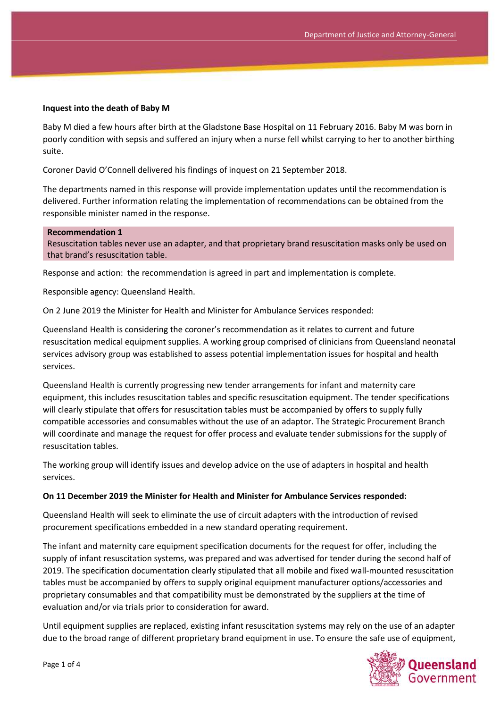### **Inquest into the death of Baby M**

Baby M died a few hours after birth at the Gladstone Base Hospital on 11 February 2016. Baby M was born in poorly condition with sepsis and suffered an injury when a nurse fell whilst carrying to her to another birthing suite.

Coroner David O'Connell delivered his findings of inquest on 21 September 2018.

The departments named in this response will provide implementation updates until the recommendation is delivered. Further information relating the implementation of recommendations can be obtained from the responsible minister named in the response.

#### **Recommendation 1**

Resuscitation tables never use an adapter, and that proprietary brand resuscitation masks only be used on that brand's resuscitation table.

Response and action: the recommendation is agreed in part and implementation is complete.

Responsible agency: Queensland Health.

On 2 June 2019 the Minister for Health and Minister for Ambulance Services responded:

Queensland Health is considering the coroner's recommendation as it relates to current and future resuscitation medical equipment supplies. A working group comprised of clinicians from Queensland neonatal services advisory group was established to assess potential implementation issues for hospital and health services.

Queensland Health is currently progressing new tender arrangements for infant and maternity care equipment, this includes resuscitation tables and specific resuscitation equipment. The tender specifications will clearly stipulate that offers for resuscitation tables must be accompanied by offers to supply fully compatible accessories and consumables without the use of an adaptor. The Strategic Procurement Branch will coordinate and manage the request for offer process and evaluate tender submissions for the supply of resuscitation tables.

The working group will identify issues and develop advice on the use of adapters in hospital and health services.

#### **On 11 December 2019 the Minister for Health and Minister for Ambulance Services responded:**

Queensland Health will seek to eliminate the use of circuit adapters with the introduction of revised procurement specifications embedded in a new standard operating requirement.

The infant and maternity care equipment specification documents for the request for offer, including the supply of infant resuscitation systems, was prepared and was advertised for tender during the second half of 2019. The specification documentation clearly stipulated that all mobile and fixed wall-mounted resuscitation tables must be accompanied by offers to supply original equipment manufacturer options/accessories and proprietary consumables and that compatibility must be demonstrated by the suppliers at the time of evaluation and/or via trials prior to consideration for award.

Until equipment supplies are replaced, existing infant resuscitation systems may rely on the use of an adapter due to the broad range of different proprietary brand equipment in use. To ensure the safe use of equipment,

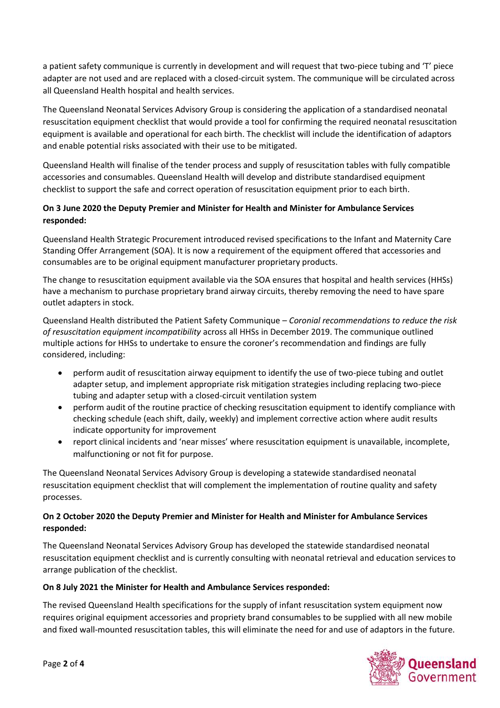a patient safety communique is currently in development and will request that two-piece tubing and 'T' piece adapter are not used and are replaced with a closed-circuit system. The communique will be circulated across all Queensland Health hospital and health services.

The Queensland Neonatal Services Advisory Group is considering the application of a standardised neonatal resuscitation equipment checklist that would provide a tool for confirming the required neonatal resuscitation equipment is available and operational for each birth. The checklist will include the identification of adaptors and enable potential risks associated with their use to be mitigated.

Queensland Health will finalise of the tender process and supply of resuscitation tables with fully compatible accessories and consumables. Queensland Health will develop and distribute standardised equipment checklist to support the safe and correct operation of resuscitation equipment prior to each birth.

# **On 3 June 2020 the Deputy Premier and Minister for Health and Minister for Ambulance Services responded:**

Queensland Health Strategic Procurement introduced revised specifications to the Infant and Maternity Care Standing Offer Arrangement (SOA). It is now a requirement of the equipment offered that accessories and consumables are to be original equipment manufacturer proprietary products.

The change to resuscitation equipment available via the SOA ensures that hospital and health services (HHSs) have a mechanism to purchase proprietary brand airway circuits, thereby removing the need to have spare outlet adapters in stock.

Queensland Health distributed the Patient Safety Communique – *Coronial recommendations to reduce the risk of resuscitation equipment incompatibility* across all HHSs in December 2019. The communique outlined multiple actions for HHSs to undertake to ensure the coroner's recommendation and findings are fully considered, including:

- perform audit of resuscitation airway equipment to identify the use of two-piece tubing and outlet adapter setup, and implement appropriate risk mitigation strategies including replacing two-piece tubing and adapter setup with a closed-circuit ventilation system
- perform audit of the routine practice of checking resuscitation equipment to identify compliance with checking schedule (each shift, daily, weekly) and implement corrective action where audit results indicate opportunity for improvement
- report clinical incidents and 'near misses' where resuscitation equipment is unavailable, incomplete, malfunctioning or not fit for purpose.

The Queensland Neonatal Services Advisory Group is developing a statewide standardised neonatal resuscitation equipment checklist that will complement the implementation of routine quality and safety processes.

## **On 2 October 2020 the Deputy Premier and Minister for Health and Minister for Ambulance Services responded:**

The Queensland Neonatal Services Advisory Group has developed the statewide standardised neonatal resuscitation equipment checklist and is currently consulting with neonatal retrieval and education services to arrange publication of the checklist.

# **On 8 July 2021 the Minister for Health and Ambulance Services responded:**

The revised Queensland Health specifications for the supply of infant resuscitation system equipment now requires original equipment accessories and propriety brand consumables to be supplied with all new mobile and fixed wall-mounted resuscitation tables, this will eliminate the need for and use of adaptors in the future.

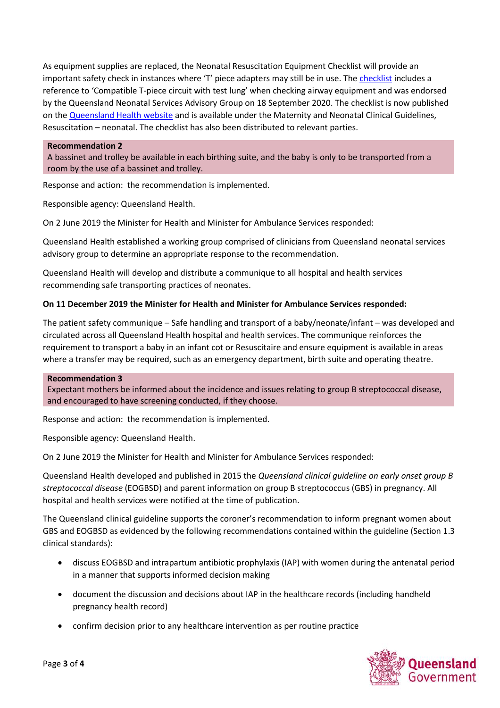As equipment supplies are replaced, the Neonatal Resuscitation Equipment Checklist will provide an important safety check in instances where 'T' piece adapters may still be in use. The [checklist](https://www.health.qld.gov.au/__data/assets/pdf_file/0030/1009578/f-resus-equip-checklist.pdf) includes a reference to 'Compatible T-piece circuit with test lung' when checking airway equipment and was endorsed by the Queensland Neonatal Services Advisory Group on 18 September 2020. The checklist is now published on th[e Queensland Health website](https://www.health.qld.gov.au/qcg/publications#neonatal) and is available under the Maternity and Neonatal Clinical Guidelines, Resuscitation – neonatal. The checklist has also been distributed to relevant parties.

### **Recommendation 2**

A bassinet and trolley be available in each birthing suite, and the baby is only to be transported from a room by the use of a bassinet and trolley.

Response and action: the recommendation is implemented.

Responsible agency: Queensland Health.

On 2 June 2019 the Minister for Health and Minister for Ambulance Services responded:

Queensland Health established a working group comprised of clinicians from Queensland neonatal services advisory group to determine an appropriate response to the recommendation.

Queensland Health will develop and distribute a communique to all hospital and health services recommending safe transporting practices of neonates.

### **On 11 December 2019 the Minister for Health and Minister for Ambulance Services responded:**

The patient safety communique – Safe handling and transport of a baby/neonate/infant – was developed and circulated across all Queensland Health hospital and health services. The communique reinforces the requirement to transport a baby in an infant cot or Resuscitaire and ensure equipment is available in areas where a transfer may be required, such as an emergency department, birth suite and operating theatre.

#### **Recommendation 3**

Expectant mothers be informed about the incidence and issues relating to group B streptococcal disease, and encouraged to have screening conducted, if they choose.

Response and action: the recommendation is implemented.

Responsible agency: Queensland Health.

On 2 June 2019 the Minister for Health and Minister for Ambulance Services responded:

Queensland Health developed and published in 2015 the *Queensland clinical guideline on early onset group B streptococcal disease* (EOGBSD) and parent information on group B streptococcus (GBS) in pregnancy. All hospital and health services were notified at the time of publication.

The Queensland clinical guideline supports the coroner's recommendation to inform pregnant women about GBS and EOGBSD as evidenced by the following recommendations contained within the guideline (Section 1.3 clinical standards):

- discuss EOGBSD and intrapartum antibiotic prophylaxis (IAP) with women during the antenatal period in a manner that supports informed decision making
- document the discussion and decisions about IAP in the healthcare records (including handheld pregnancy health record)
- confirm decision prior to any healthcare intervention as per routine practice